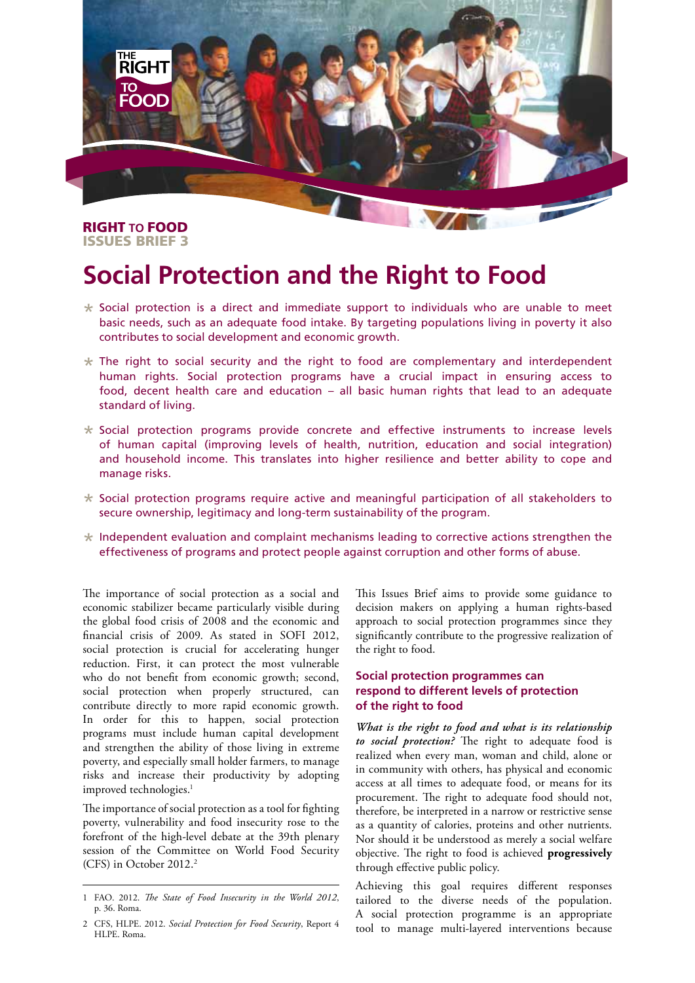

## RIGHT **TO** FOOD ISSUES BRIEF 3

# **Social Protection and the Right to Food**

- $*$  Social protection is a direct and immediate support to individuals who are unable to meet basic needs, such as an adequate food intake. By targeting populations living in poverty it also contributes to social development and economic growth.
- $*$  The right to social security and the right to food are complementary and interdependent human rights. Social protection programs have a crucial impact in ensuring access to food, decent health care and education – all basic human rights that lead to an adequate standard of living.
- $*$  Social protection programs provide concrete and effective instruments to increase levels of human capital (improving levels of health, nutrition, education and social integration) and household income. This translates into higher resilience and better ability to cope and manage risks.
- $*$  Social protection programs require active and meaningful participation of all stakeholders to secure ownership, legitimacy and long-term sustainability of the program.
- $*$  Independent evaluation and complaint mechanisms leading to corrective actions strengthen the effectiveness of programs and protect people against corruption and other forms of abuse.

The importance of social protection as a social and economic stabilizer became particularly visible during the global food crisis of 2008 and the economic and financial crisis of 2009. As stated in SOFI 2012, social protection is crucial for accelerating hunger reduction. First, it can protect the most vulnerable who do not benefit from economic growth; second, social protection when properly structured, can contribute directly to more rapid economic growth. In order for this to happen, social protection programs must include human capital development and strengthen the ability of those living in extreme poverty, and especially small holder farmers, to manage risks and increase their productivity by adopting improved technologies.<sup>1</sup>

The importance of social protection as a tool for fighting poverty, vulnerability and food insecurity rose to the forefront of the high-level debate at the 39th plenary session of the Committee on World Food Security (CFS) in October 2012.<sup>2</sup>

This Issues Brief aims to provide some guidance to decision makers on applying a human rights-based approach to social protection programmes since they significantly contribute to the progressive realization of the right to food.

## **Social protection programmes can respond to different levels of protection of the right to food**

*What is the right to food and what is its relationship to social protection?* The right to adequate food is realized when every man, woman and child, alone or in community with others, has physical and economic access at all times to adequate food, or means for its procurement. The right to adequate food should not, therefore, be interpreted in a narrow or restrictive sense as a quantity of calories, proteins and other nutrients. Nor should it be understood as merely a social welfare objective. The right to food is achieved **progressively** through effective public policy.

Achieving this goal requires different responses tailored to the diverse needs of the population. A social protection programme is an appropriate tool to manage multi-layered interventions because

<sup>1</sup> FAO. 2012. *The State of Food Insecurity in the World 2012*, p. 36. Roma.

<sup>2</sup> CFS, HLPE. 2012. *Social Protection for Food Security*, Report 4 HLPE. Roma.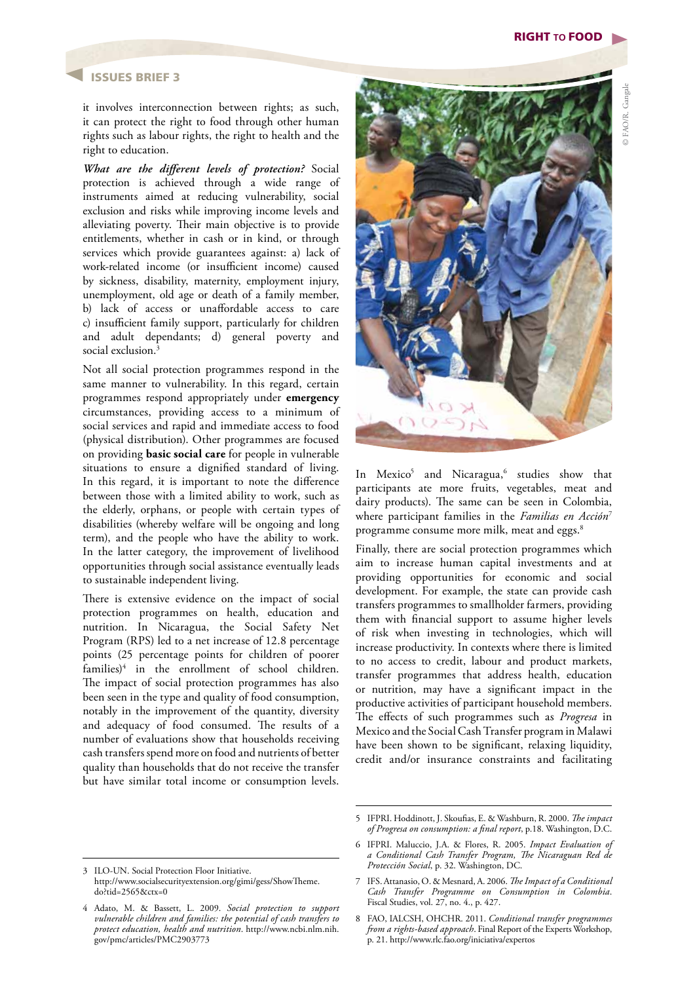## ISSUES BRIEF 3

it involves interconnection between rights; as such, it can protect the right to food through other human rights such as labour rights, the right to health and the right to education.

*What are the different levels of protection?* Social protection is achieved through a wide range of instruments aimed at reducing vulnerability, social exclusion and risks while improving income levels and alleviating poverty. Their main objective is to provide entitlements, whether in cash or in kind, or through services which provide guarantees against: a) lack of work-related income (or insufficient income) caused by sickness, disability, maternity, employment injury, unemployment, old age or death of a family member, b) lack of access or unaffordable access to care c) insufficient family support, particularly for children and adult dependants; d) general poverty and social exclusion.<sup>3</sup>

Not all social protection programmes respond in the same manner to vulnerability. In this regard, certain programmes respond appropriately under **emergency** circumstances, providing access to a minimum of social services and rapid and immediate access to food (physical distribution). Other programmes are focused on providing **basic social care** for people in vulnerable situations to ensure a dignified standard of living. In this regard, it is important to note the difference between those with a limited ability to work, such as the elderly, orphans, or people with certain types of disabilities (whereby welfare will be ongoing and long term), and the people who have the ability to work. In the latter category, the improvement of livelihood opportunities through social assistance eventually leads to sustainable independent living.

There is extensive evidence on the impact of social protection programmes on health, education and nutrition. In Nicaragua, the Social Safety Net Program (RPS) led to a net increase of 12.8 percentage points (25 percentage points for children of poorer families)<sup>4</sup> in the enrollment of school children. The impact of social protection programmes has also been seen in the type and quality of food consumption, notably in the improvement of the quantity, diversity and adequacy of food consumed. The results of a number of evaluations show that households receiving cash transfers spend more on food and nutrients of better quality than households that do not receive the transfer but have similar total income or consumption levels.



In Mexico<sup>5</sup> and Nicaragua,<sup>6</sup> studies show that participants ate more fruits, vegetables, meat and dairy products). The same can be seen in Colombia, where participant families in the *Familias en Acción*<sup>7</sup> programme consume more milk, meat and eggs.<sup>8</sup>

Finally, there are social protection programmes which aim to increase human capital investments and at providing opportunities for economic and social development. For example, the state can provide cash transfers programmes to smallholder farmers, providing them with financial support to assume higher levels of risk when investing in technologies, which will increase productivity. In contexts where there is limited to no access to credit, labour and product markets, transfer programmes that address health, education or nutrition, may have a significant impact in the productive activities of participant household members. The effects of such programmes such as *Progresa* in Mexico and the Social Cash Transfer program in Malawi have been shown to be significant, relaxing liquidity, credit and/or insurance constraints and facilitating

<sup>5</sup> IFPRI. Hoddinott, J. Skoufias, E. & Washburn, R. 2000. *The impact of Progresa on consumption: a final report*, p.18. Washington, D.C.

<sup>6</sup> IFPRI. Maluccio, J.A. & Flores, R. 2005. *Impact Evaluation of a Conditional Cash Transfer Program, The Nicaraguan Red de Protección Social*, p. 32. Washington, DC.

<sup>3</sup> ILO-UN. Social Protection Floor Initiative. http://www.socialsecurityextension.org/gimi/gess/ShowTheme. do?tid=2565&ctx=0

<sup>4</sup> Adato, M. & Bassett, L. 2009. *Social protection to support vulnerable children and families: the potential of cash transfers to protect education, health and nutrition*. http://www.ncbi.nlm.nih. gov/pmc/articles/PMC2903773

<sup>7</sup> IFS. Attanasio, O. & Mesnard, A. 2006. *The Impact of a Conditional Cash Transfer Programme on Consumption in Colombia*. Fiscal Studies, vol. 27, no. 4., p. 427.

<sup>8</sup> FAO, IALCSH, OHCHR. 2011. *Conditional transfer programmes from a rights-based approach*. Final Report of the Experts Workshop, p. 21. http://www.rlc.fao.org/iniciativa/expertos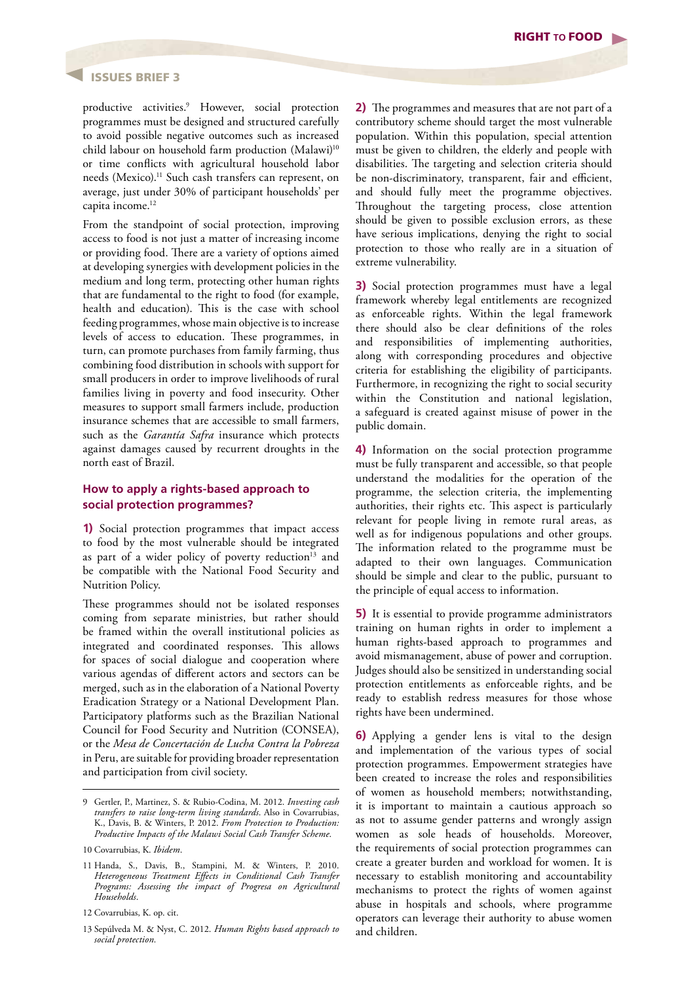#### ISSUES BRIEF 3

productive activities.9 However, social protection programmes must be designed and structured carefully to avoid possible negative outcomes such as increased child labour on household farm production (Malawi)<sup>10</sup> or time conflicts with agricultural household labor needs (Mexico).11 Such cash transfers can represent, on average, just under 30% of participant households' per capita income.<sup>12</sup>

From the standpoint of social protection, improving access to food is not just a matter of increasing income or providing food. There are a variety of options aimed at developing synergies with development policies in the medium and long term, protecting other human rights that are fundamental to the right to food (for example, health and education). This is the case with school feeding programmes, whose main objective is to increase levels of access to education. These programmes, in turn, can promote purchases from family farming, thus combining food distribution in schools with support for small producers in order to improve livelihoods of rural families living in poverty and food insecurity. Other measures to support small farmers include, production insurance schemes that are accessible to small farmers, such as the *Garantía Safra* insurance which protects against damages caused by recurrent droughts in the north east of Brazil.

#### **How to apply a rights-based approach to social protection programmes?**

**1)** Social protection programmes that impact access to food by the most vulnerable should be integrated as part of a wider policy of poverty reduction<sup>13</sup> and be compatible with the National Food Security and Nutrition Policy.

These programmes should not be isolated responses coming from separate ministries, but rather should be framed within the overall institutional policies as integrated and coordinated responses. This allows for spaces of social dialogue and cooperation where various agendas of different actors and sectors can be merged, such as in the elaboration of a National Poverty Eradication Strategy or a National Development Plan. Participatory platforms such as the Brazilian National Council for Food Security and Nutrition (CONSEA), or the *Mesa de Concertación de Lucha Contra la Pobreza* in Peru, are suitable for providing broader representation and participation from civil society.

**2)** The programmes and measures that are not part of a contributory scheme should target the most vulnerable population. Within this population, special attention must be given to children, the elderly and people with disabilities. The targeting and selection criteria should be non-discriminatory, transparent, fair and efficient, and should fully meet the programme objectives. Throughout the targeting process, close attention should be given to possible exclusion errors, as these have serious implications, denying the right to social protection to those who really are in a situation of extreme vulnerability.

**3)** Social protection programmes must have a legal framework whereby legal entitlements are recognized as enforceable rights. Within the legal framework there should also be clear definitions of the roles and responsibilities of implementing authorities, along with corresponding procedures and objective criteria for establishing the eligibility of participants. Furthermore, in recognizing the right to social security within the Constitution and national legislation, a safeguard is created against misuse of power in the public domain.

**4)** Information on the social protection programme must be fully transparent and accessible, so that people understand the modalities for the operation of the programme, the selection criteria, the implementing authorities, their rights etc. This aspect is particularly relevant for people living in remote rural areas, as well as for indigenous populations and other groups. The information related to the programme must be adapted to their own languages. Communication should be simple and clear to the public, pursuant to the principle of equal access to information.

**5)** It is essential to provide programme administrators training on human rights in order to implement a human rights-based approach to programmes and avoid mismanagement, abuse of power and corruption. Judges should also be sensitized in understanding social protection entitlements as enforceable rights, and be ready to establish redress measures for those whose rights have been undermined.

**6)** Applying a gender lens is vital to the design and implementation of the various types of social protection programmes. Empowerment strategies have been created to increase the roles and responsibilities of women as household members; notwithstanding, it is important to maintain a cautious approach so as not to assume gender patterns and wrongly assign women as sole heads of households. Moreover, the requirements of social protection programmes can create a greater burden and workload for women. It is necessary to establish monitoring and accountability mechanisms to protect the rights of women against abuse in hospitals and schools, where programme operators can leverage their authority to abuse women and children.

<sup>9</sup> Gertler, P., Martinez, S. & Rubio-Codina, M. 2012. *Investing cash transfers to raise long-term living standards*. Also in Covarrubias, K., Davis, B. & Winters, P. 2012. *From Protection to Production: Productive Impacts of the Malawi Social Cash Transfer Scheme*.

<sup>10</sup> Covarrubias, K. *Ibidem*.

<sup>11</sup> Handa, S., Davis, B., Stampini, M. & Winters, P. 2010. *Heterogeneous Treatment Effects in Conditional Cash Transfer Programs: Assessing the impact of Progresa on Agricultural Households*.

<sup>12</sup> Covarrubias, K. op. cit.

<sup>13</sup> Sepúlveda M. & Nyst, C. 2012. *Human Rights based approach to social protection.*